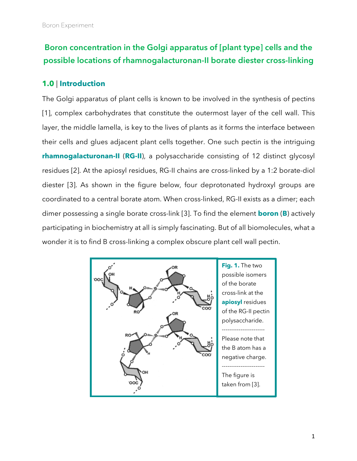# **Boron concentration in the Golgi apparatus of [plant type] cells and the possible locations of rhamnogalacturonan-II borate diester cross-linking**

# **1.0** | **Introduction**

The Golgi apparatus of plant cells is known to be involved in the synthesis of pectins [1], complex carbohydrates that constitute the outermost layer of the cell wall. This layer, the middle lamella, is key to the lives of plants as it forms the interface between their cells and glues adjacent plant cells together. One such pectin is the intriguing **rhamnogalacturonan-II** (**RG-II**), a polysaccharide consisting of 12 distinct glycosyl residues [2]. At the apiosyl residues, RG-II chains are cross-linked by a 1:2 borate-diol diester [3]. As shown in the figure below, four deprotonated hydroxyl groups are coordinated to a central borate atom. When cross-linked, RG-II exists as a dimer; each dimer possessing a single borate cross-link [3]. To find the element **boron** (**B**) actively participating in biochemistry at all is simply fascinating. But of all biomolecules, what a wonder it is to find B cross-linking a complex obscure plant cell wall pectin.

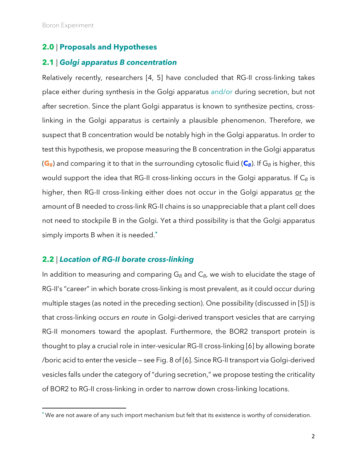<u>.</u>

## **2.0** | **Proposals and Hypotheses**

## **2.1** *| Golgi apparatus B concentration*

Relatively recently, researchers [4, 5] have concluded that RG-II cross-linking takes place either during synthesis in the Golgi apparatus and/or during secretion, but not after secretion. Since the plant Golgi apparatus is known to synthesize pectins, crosslinking in the Golgi apparatus is certainly a plausible phenomenon. Therefore, we suspect that B concentration would be notably high in the Golgi apparatus. In order to test this hypothesis, we propose measuring the B concentration in the Golgi apparatus  $(G_B)$  and comparing it to that in the surrounding cytosolic fluid  $(G_B)$ . If  $G_B$  is higher, this would support the idea that RG-II cross-linking occurs in the Golgi apparatus. If C<sub>B</sub> is higher, then RG-II cross-linking either does not occur in the Golgi apparatus or the amount of B needed to cross-link RG-II chains is so unappreciable that a plant cell does not need to stockpile B in the Golgi. Yet a third possibility is that the Golgi apparatus simply imports B when it is needed.**\***

#### **2.2** *| Location of RG-II borate cross-linking*

In addition to measuring and comparing G<sub>B</sub> and C<sub>B</sub>, we wish to elucidate the stage of RG-II's "career" in which borate cross-linking is most prevalent, as it could occur during multiple stages (as noted in the preceding section). One possibility (discussed in [5]) is that cross-linking occurs *en route* in Golgi-derived transport vesicles that are carrying RG-II monomers toward the apoplast. Furthermore, the BOR2 transport protein is thought to play a crucial role in inter-vesicular RG-II cross-linking [6] by allowing borate /boric acid to enter the vesicle — see Fig. 8 of [6]. Since RG-II transport via Golgi-derived vesicles falls under the category of "during secretion," we propose testing the criticality of BOR2 to RG-II cross-linking in order to narrow down cross-linking locations.

**<sup>\*</sup>** We are not aware of any such import mechanism but felt that its existence is worthy of consideration.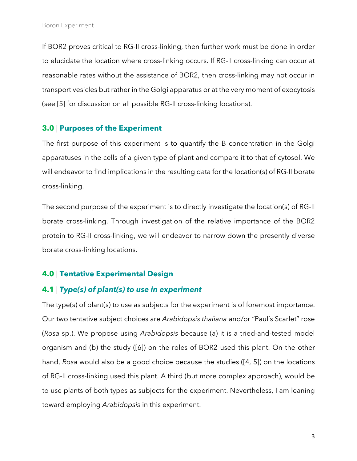If BOR2 proves critical to RG-II cross-linking, then further work must be done in order to elucidate the location where cross-linking occurs. If RG-II cross-linking can occur at reasonable rates without the assistance of BOR2, then cross-linking may not occur in transport vesicles but rather in the Golgi apparatus or at the very moment of exocytosis (see [5] for discussion on all possible RG-II cross-linking locations).

#### **3.0** | **Purposes of the Experiment**

The first purpose of this experiment is to quantify the B concentration in the Golgi apparatuses in the cells of a given type of plant and compare it to that of cytosol. We will endeavor to find implications in the resulting data for the location(s) of RG-II borate cross-linking.

The second purpose of the experiment is to directly investigate the location(s) of RG-II borate cross-linking. Through investigation of the relative importance of the BOR2 protein to RG-II cross-linking, we will endeavor to narrow down the presently diverse borate cross-linking locations.

# **4.0** | **Tentative Experimental Design**

# **4.1** | *Type(s) of plant(s) to use in experiment*

The type(s) of plant(s) to use as subjects for the experiment is of foremost importance. Our two tentative subject choices are *Arabidopsis thaliana* and/or "Paul's Scarlet" rose (*Rosa* sp.). We propose using *Arabidopsis* because (a) it is a tried-and-tested model organism and (b) the study ([6]) on the roles of BOR2 used this plant. On the other hand, *Rosa* would also be a good choice because the studies ([4, 5]) on the locations of RG-II cross-linking used this plant. A third (but more complex approach), would be to use plants of both types as subjects for the experiment. Nevertheless, I am leaning toward employing *Arabidopsis* in this experiment.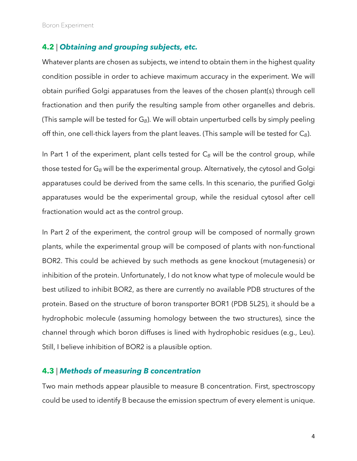Boron Experiment

#### **4.2** | *Obtaining and grouping subjects, etc.*

Whatever plants are chosen as subjects, we intend to obtain them in the highest quality condition possible in order to achieve maximum accuracy in the experiment. We will obtain purified Golgi apparatuses from the leaves of the chosen plant(s) through cell fractionation and then purify the resulting sample from other organelles and debris. (This sample will be tested for G*B*). We will obtain unperturbed cells by simply peeling off thin, one cell-thick layers from the plant leaves. (This sample will be tested for C*B*).

In Part 1 of the experiment, plant cells tested for C<sub>B</sub> will be the control group, while those tested for G*<sup>B</sup>* will be the experimental group. Alternatively, the cytosol and Golgi apparatuses could be derived from the same cells. In this scenario, the purified Golgi apparatuses would be the experimental group, while the residual cytosol after cell fractionation would act as the control group.

In Part 2 of the experiment, the control group will be composed of normally grown plants, while the experimental group will be composed of plants with non-functional BOR2. This could be achieved by such methods as gene knockout (mutagenesis) or inhibition of the protein. Unfortunately, I do not know what type of molecule would be best utilized to inhibit BOR2, as there are currently no available PDB structures of the protein. Based on the structure of boron transporter BOR1 (PDB 5L25), it should be a hydrophobic molecule (assuming homology between the two structures), since the channel through which boron diffuses is lined with hydrophobic residues (e.g., Leu). Still, I believe inhibition of BOR2 is a plausible option.

## **4.3** | *Methods of measuring B concentration*

Two main methods appear plausible to measure B concentration. First, spectroscopy could be used to identify B because the emission spectrum of every element is unique.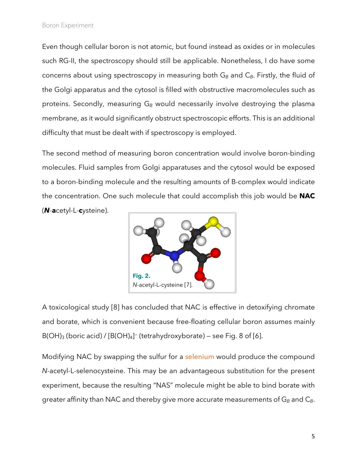Even though cellular boron is not atomic, but found instead as oxides or in molecules such RG-II, the spectroscopy should still be applicable. Nonetheless, I do have some concerns about using spectroscopy in measuring both G<sub>B</sub> and C<sub>B</sub>. Firstly, the fluid of the Golgi apparatus and the cytosol is filled with obstructive macromolecules such as proteins. Secondly, measuring G<sub>B</sub> would necessarily involve destroying the plasma membrane, as it would significantly obstruct spectroscopic efforts. This is an additional difficulty that must be dealt with if spectroscopy is employed.

The second method of measuring boron concentration would involve boron-binding molecules. Fluid samples from Golgi apparatuses and the cytosol would be exposed to a boron-binding molecule and the resulting amounts of B-complex would indicate the concentration. One such molecule that could accomplish this job would be **NAC**  (*N*-**a**cetyl-L-**c**ysteine).



A toxicological study [8] has concluded that NAC is effective in detoxifying chromate and borate, which is convenient because free-floating cellular boron assumes mainly  $B(OH)_3$  (boric acid) /  $[B(OH)_4]^-$  (tetrahydroxyborate) – see Fig. 8 of [6].

Modifying NAC by swapping the sulfur for a selenium would produce the compound *N*-acetyl-L-selenocysteine. This may be an advantageous substitution for the present experiment, because the resulting "NAS" molecule might be able to bind borate with greater affinity than NAC and thereby give more accurate measurements of G<sub>B</sub> and C<sub>B</sub>.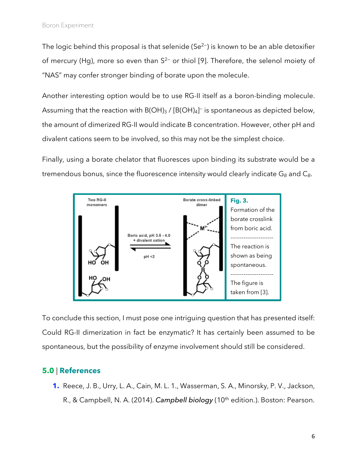The logic behind this proposal is that selenide ( $Se^{2-}$ ) is known to be an able detoxifier of mercury (Hg), more so even than  $S^{2-}$  or thiol [9]. Therefore, the selenol moiety of "NAS" may confer stronger binding of borate upon the molecule.

Another interesting option would be to use RG-II itself as a boron-binding molecule. Assuming that the reaction with B(OH)3 / [B(OH)4] $\bar{\ }$  is spontaneous as depicted below, the amount of dimerized RG-II would indicate B concentration. However, other pH and divalent cations seem to be involved, so this may not be the simplest choice.

Finally, using a borate chelator that fluoresces upon binding its substrate would be a tremendous bonus, since the fluorescence intensity would clearly indicate G<sub>B</sub> and C<sub>B</sub>.



To conclude this section, I must pose one intriguing question that has presented itself: Could RG-II dimerization in fact be enzymatic? It has certainly been assumed to be spontaneous, but the possibility of enzyme involvement should still be considered.

# **5.0** | **References**

**1.** Reece, J. B., Urry, L. A., Cain, M. L. 1., Wasserman, S. A., Minorsky, P. V., Jackson, R., & Campbell, N. A. (2014). *Campbell biology* (10<sup>th</sup> edition.). Boston: Pearson.